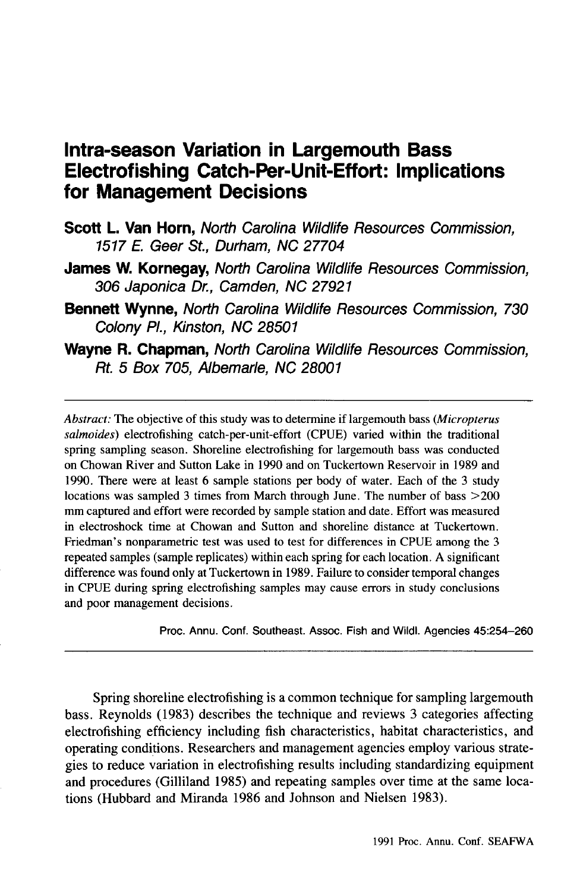# **Intra-season Variation in Largemouth Bass Electrofishing Catch-Per-Unit-Effort: Implications for Management Decisions**

- **Scott L. Van Horn,** North Carolina Wildlife Resources Commission, 1517 *E.* Geer St., Durham, NC 27704
- **James W. Kornegay,** North Carolina Wildlife Resources Commission, 306 Japonica Dr., Camden, NC 27921
- **Bennett Wynne,** North Carolina Wildlife Resources Commission, 730 Colony PI., Kinston, NC 28501
- **Wayne R. Chapman,** North Carolina Wildlife Resources Commission, Rt. 5 Box 705, Albemarle, NC 28001

*Abstract:* The objective of this study was to determine if largemouth bass *(Micropterus salmoides)* electrofishing catch-per-unit-effort (CPUE) varied within the traditional spring sampling season. Shoreline electrofishing for largemouth bass was conducted on Chowan River and Sutton Lake in 1990 and on Tuckertown Reservoir in 1989 and 1990. There were at least 6 sample stations per body of water. Each of the 3 study locations was sampled 3 times from March through June. The number of bass  $>200$ mrn captured and effort were recorded by sample station and date. Effort was measured in electroshock time at Chowan and Sutton and shoreline distance at Tuckertown. Friedman's nonparametric test was used to test for differences in CPUE among the 3 repeated samples (sample replicates) within each spring for each location. A significant difference was found only at Tuckertown in 1989. Failure to consider temporal changes in CPUE during spring electrofishing samples may cause errors in study conclusions and poor management decisions.

Proc. Annu. Conf. Southeast. Assoc. Fish and WildI. Agencies 45:254-260

Spring shoreline electrofishing is a common technique for sampling largemouth bass. Reynolds (1983) describes the technique and reviews 3 categories affecting electrofishing efficiency including fish characteristics, habitat characteristics, and operating conditions. Researchers and management agencies employ various strategies to reduce variation in electrofishing results including standardizing equipment and procedures (Gilliland 1985) and repeating samples over time at the same locations (Hubbard and Miranda 1986 and Johnson and Nielsen 1983).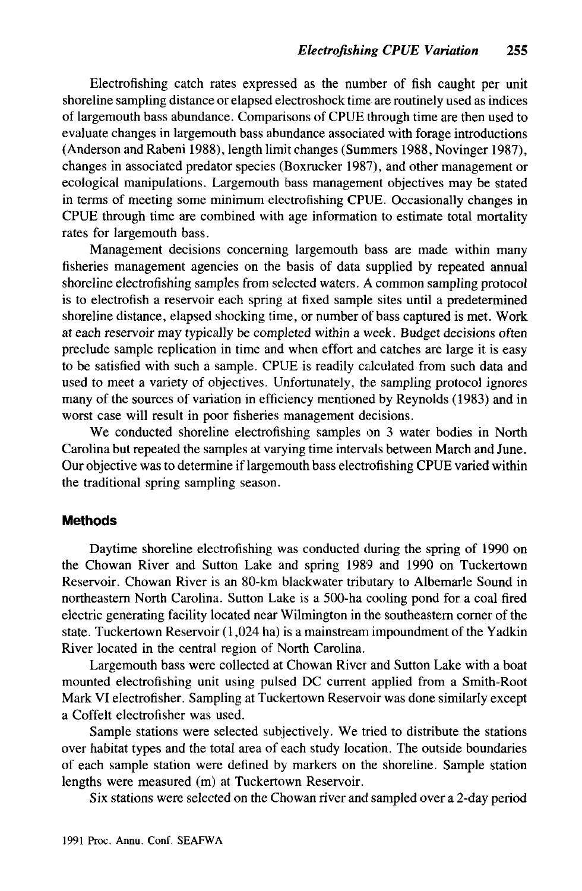Electrofishing catch rates expressed as the number of fish caught per unit shoreline sampling distance or elapsed electroshock time are routinely used as indices of largemouth bass abundance. Comparisons of CPUE through time are then used to evaluate changes in largemouth bass abundance associated with forage introductions (Anderson and Rabeni 1988), length limit changes (Summers 1988, Novinger 1987). changes in associated predator species (Boxrucker 1987), and other management or ecological manipulations. Largemouth bass management objectives may be stated in terms of meeting some minimum electrofishing CPUE. Occasionally changes in CPUE through time are combined with age information to estimate total mortality rates for largemouth bass.

Management decisions concerning largemouth bass are made within many fisheries management agencies on the basis of data supplied by repeated annual shoreline electrofishing samples from selected waters. A common sampling protocol is to electrofish a reservoir each spring at fixed sample sites until a predetermined shoreline distance, elapsed shocking time, or number of bass captured is met. Work at each reservoir may typically be completed within a week. Budget decisions often preclude sample replication in time and when effort and catches are large it is easy to be satisfied with such a sample. CPUE is readily calculated from such data and used to meet a variety of objectives. Unfortunately, the sampling protocol ignores many of the sources of variation in efficiency mentioned by Reynolds (1983) and in worst case will result in poor fisheries management decisions.

We conducted shoreline electrofishing samples on 3 water bodies in North Carolina but repeated the samples at varying time intervals between March and June. Our objective was to determine if largemouth bass electrofishing CPUE varied within the traditional spring sampling season.

## **Methods**

Daytime shoreline electrofishing was conducted during the spring of 1990 on the Chowan River and Sutton Lake and spring 1989 and 1990 on Tuckertown Reservoir. Chowan River is an 80-km blackwater tributary to Albemarle Sound in northeastern North Carolina. Sutton Lake is a 500-ha cooling pond for a coal fired electric generating facility located near Wilmington in the southeastern corner of the state. Tuckertown Reservoir (1,024 ha) is a mainstream impoundment of the Yadkin River located in the central region of North Carolina.

Largemouth bass were collected at Chowan River and Sutton Lake with a boat mounted electrofishing unit using pulsed DC current applied from a Smith-Root Mark VI electrofisher. Sampling at Tuckertown Reservoir was done similarly except a Coffelt electrofisher was used.

Sample stations were selected subjectively. We tried to distribute the stations over habitat types and the total area of each study location. The outside boundaries of each sample station were defined by markers on the shoreline. Sample station lengths were measured (m) at Tuckertown Reservoir.

Six stations were selected on the Chowan river and sampled over a 2-day period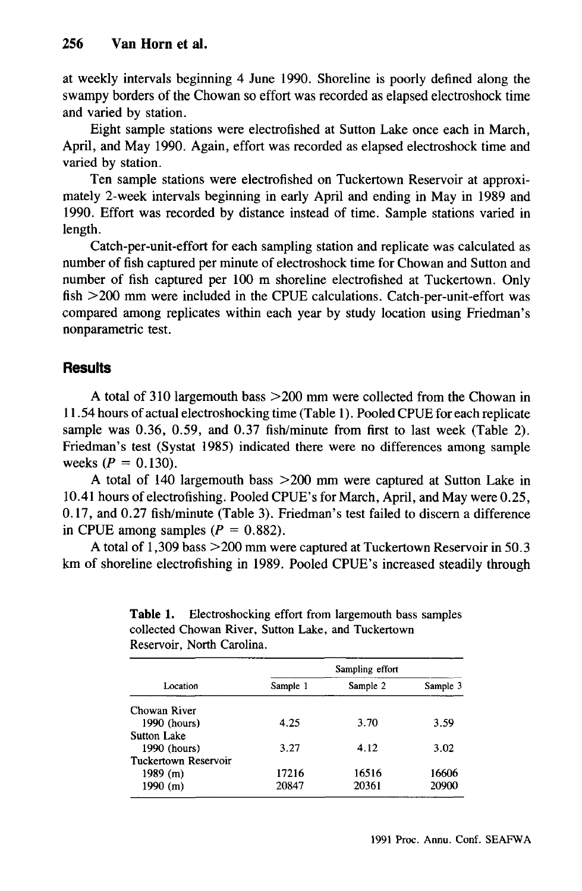at weekly intervals beginning 4 June 1990. Shoreline is poorly defined along the swampy borders of the Chowan so effort was recorded as elapsed electroshock time and varied by station.

Eight sample stations were electrofished at Sutton Lake once each in March, April, and May 1990. Again, effort was recorded as elapsed electroshock time and varied by station.

Ten sample stations were electrofished on Tuckertown Reservoir at approximately 2-week intervals beginning in early April and ending in May in 1989 and 1990. Effort was recorded by distance instead of time. Sample stations varied in length.

Catch-per-unit-effort for each sampling station and replicate was calculated as number of fish captured per minute of electroshock time for Chowan and Sutton and number of fish captured per 100 m shoreline electrofished at Tuckertown. Only  $fish > 200$  mm were included in the CPUE calculations. Catch-per-unit-effort was compared among replicates within each year by study location using Friedman's nonparametric test.

# **Results**

A total of 310 largemouth bass > 200 mm were collected from the Chowan in 11.54 hours of actual electroshocking time (Table 1). Pooled CPUE for each replicate sample was 0.36, 0.59, and 0.37 fish/minute from first to last week (Table 2). Friedman's test (Systat 1985) indicated there were no differences among sample weeks ( $P = 0.130$ ).

A total of 140 largemouth bass  $>200$  mm were captured at Sutton Lake in 10.41 hours of electrofishing. Pooled CPUE's for March, April, and May were 0.25, 0.17, and 0.27 fish/minute (Table 3). Friedman's test failed to discern a difference in CPUE among samples ( $P = 0.882$ ).

A total of 1,309 bass > 200 mm were captured at Tuckertown Reservoir in 50.3 km of shoreline electrofishing in 1989. Pooled CPUE's increased steadily through

| Location             | Sampling effort |          |          |
|----------------------|-----------------|----------|----------|
|                      | Sample 1        | Sample 2 | Sample 3 |
| Chowan River         |                 |          |          |
| 1990 (hours)         | 4.25            | 3.70     | 3.59     |
| Sutton Lake          |                 |          |          |
| 1990 (hours)         | 3.27            | 4.12     | 3.02     |
| Tuckertown Reservoir |                 |          |          |
| 1989(m)              | 17216           | 16516    | 16606    |
| $1990$ (m)           | 20847           | 20361    | 20900    |

Table 1. Electroshocking effort from largemouth bass samples collected Chowan River, Sutton Lake, and Tuckertown Reservoir, North Carolina.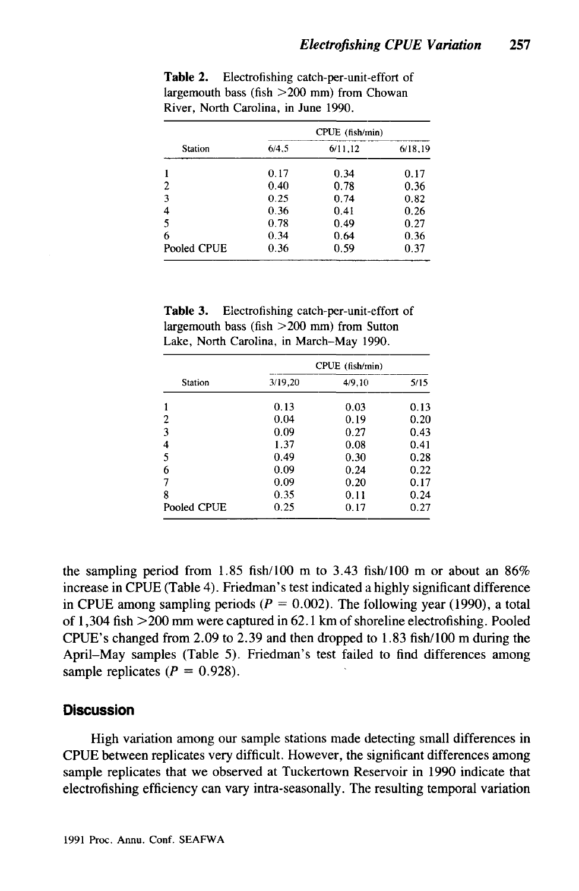| Station     | CPUE (fish/min) |         |         |
|-------------|-----------------|---------|---------|
|             | 6/4.5           | 6/11.12 | 6/18.19 |
|             | 0.17            | 0.34    | 0.17    |
| 2           | 0.40            | 0.78    | 0.36    |
| 3           | 0.25            | 0.74    | 0.82    |
| 4           | 0.36            | 0.41    | 0.26    |
| 5           | 0.78            | 0.49    | 0.27    |
| 6           | 0.34            | 0.64    | 0.36    |
| Pooled CPUE | 0.36            | 0.59    | 0.37    |

Table 2. Electrofishing catch-per-unit-effort of largemouth bass  $(fish > 200$  mm) from Chowan River. North Carolina, in June 1990.

Table 3. Electrofishing catch-per-unit-effort of largemouth bass (fish  $>200$  mm) from Sutton Lake, North Carolina, in March-May 1990.

| <b>Station</b> | CPUE (fish/min) |        |      |
|----------------|-----------------|--------|------|
|                | 3/19.20         | 4/9,10 | 5/15 |
|                | 0.13            | 0.03   | 0.13 |
| 2              | 0.04            | 0.19   | 0.20 |
| 3              | 0.09            | 0.27   | 0.43 |
| 4              | 1.37            | 0.08   | 0.41 |
| 5              | 0.49            | 0.30   | 0.28 |
| 6              | 0.09            | 0.24   | 0.22 |
| 7              | 0.09            | 0.20   | 0.17 |
| 8              | 0.35            | 0.11   | 0.24 |
| Pooled CPUE    | 0.25            | 0.17   | 0.27 |

the sampling period from 1.85 fish/100 m to 3.43 fish/100 m or about an  $86\%$ increase in CPUE (Table 4). Friedman's test indicated a highly significant difference in CPUE among sampling periods ( $P = 0.002$ ). The following year (1990), a total of 1,304 fish >200 mm were captured in 62.1 km of shoreline electrofishing. Pooled CPUE's changed from 2.09 to 2.39 and then dropped to  $1.83$  fish/100 m during the April–May samples (Table 5). Friedman's test failed to find differences among sample replicates ( $P = 0.928$ ).

## **Discussion**

High variation among our sample stations made detecting small differences in CPUE between replicates very difficult. However, the significant differences among sample replicates that we observed at Tuckertown Reservoir in 1990 indicate that electrofishing efficiency can vary intra-seasonally. The resulting temporal variation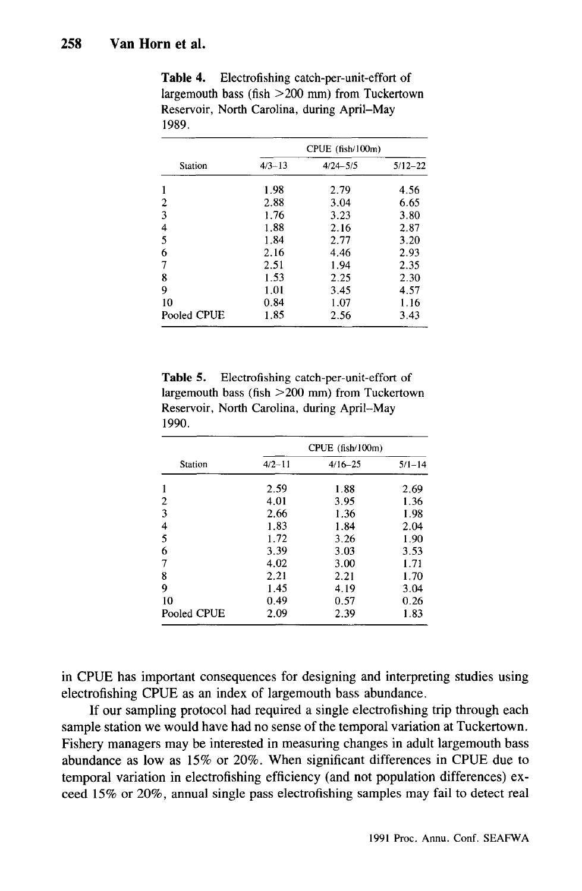| Station     | CPUE (fish/100m) |              |             |
|-------------|------------------|--------------|-------------|
|             | $4/3 - 13$       | $4/24 - 5/5$ | $5/12 - 22$ |
|             | 1.98             | 2.79         | 4.56        |
| 2           | 2.88             | 3.04         | 6.65        |
| 3           | 1.76             | 3.23         | 3.80        |
| 4           | 1.88             | 2.16         | 2.87        |
| 5           | 1.84             | 2.77         | 3.20        |
| 6           | 2.16             | 4.46         | 2.93        |
| 7           | 2.51             | 1.94         | 2.35        |
| 8           | 1.53             | 2.25         | 2.30        |
| 9           | 1.01             | 3.45         | 4.57        |
| 10          | 0.84             | 1.07         | 1.16        |
| Pooled CPUE | 1.85             | 2.56         | 3.43        |

Table 4. Electrofishing catch-per-unit-effort of largemouth bass (fish  $>200$  mm) from Tuckertown Reservoir, North Carolina, during April–May 1989.

Electrofishing catch-per-unit-effort of Table 5. largemouth bass (fish  $>200$  mm) from Tuckertown Reservoir, North Carolina, during April-May 1990.

| Station     | CPUE (fish/100m) |             |            |
|-------------|------------------|-------------|------------|
|             | $4/2 - 11$       | $4/16 - 25$ | $5/1 - 14$ |
| 1           | 2.59             | 1.88        | 2.69       |
| 2           | 4.01             | 3.95        | 1.36       |
| 3           | 2.66             | 1.36        | 1.98       |
| 4           | 1.83             | 1.84        | 2.04       |
| 5           | 1.72             | 3.26        | 1.90       |
| 6           | 3.39             | 3.03        | 3.53       |
| 7           | 4.02             | 3.00        | 1.71       |
| 8           | 2.21             | 2.21        | 1.70       |
| 9           | 1.45             | 4.19        | 3.04       |
| 10          | 0.49             | 0.57        | 0.26       |
| Pooled CPUE | 2.09             | 2.39        | 1.83       |

in CPUE has important consequences for designing and interpreting studies using electrofishing CPUE as an index of largemouth bass abundance.

If our sampling protocol had required a single electrofishing trip through each sample station we would have had no sense of the temporal variation at Tuckertown. Fishery managers may be interested in measuring changes in adult largemouth bass abundance as low as 15% or 20%. When significant differences in CPUE due to temporal variation in electrofishing efficiency (and not population differences) exceed 15% or 20%, annual single pass electrofishing samples may fail to detect real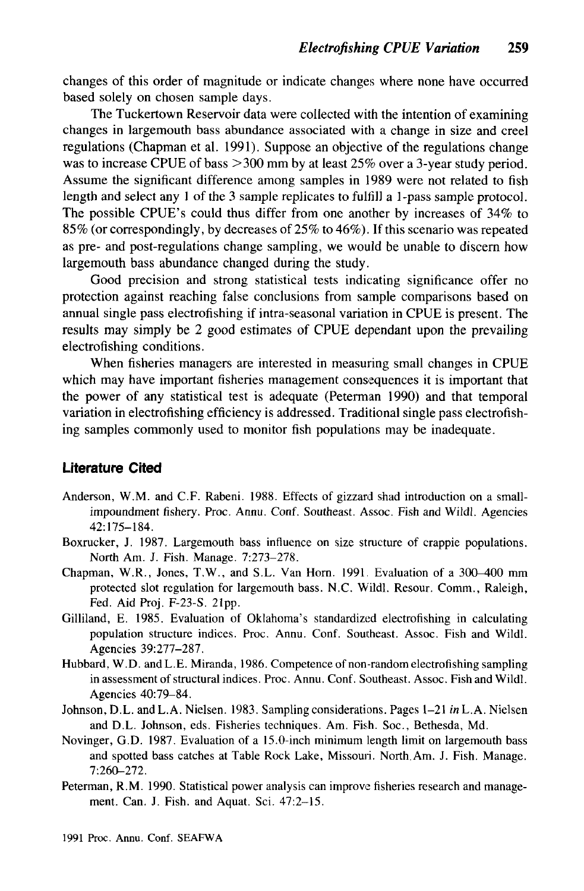changes of this order of magnitude or indicate changes where none have occurred based solely on chosen sample days.

The Tuckertown Reservoir data were collected with the intention of examining changes in largemouth bass abundance associated with a change in size and creel regulations (Chapman et al. 1991). Suppose an objective of the regulations change was to increase CPUE of bass  $>300$  mm by at least 25% over a 3-year study period. Assume the significant difference among samples in 1989 were not related to fish length and select any  $1$  of the 3 sample replicates to fulfill a 1-pass sample protocol. The possible CPUE's could thus differ from one another by increases of 34% to 85% (or correspondingly, by decreases of 25% to 46%). If this scenario was repeated as pre- and post-regulations change sampling, we would be unable to discern how largemouth bass abundance changed during the study.

Good precision and strong statistical tests indicating significance offer no protection against reaching false conclusions from sample comparisons based on annual single pass electrofishing if intra-seasonal variation in CPUE is present. The results may simply be 2 good estimates of CPUE dependant upon the prevailing electrofishing conditions.

When fisheries managers are interested in measuring small changes in CPUE which may have important fisheries management consequences it is important that the power of any statistical test is adequate (Peterman 1990) and that temporal variation in electrofishing efficiency is addressed. Traditional single pass electrofishing samples commonly used to monitor fish populations may be inadequate.

## **Literature Cited**

- Anderson, W.M. and C.F. Rabeni. 1988. Effects of gizzard shad introduction on a smallimpoundment fishery. Proc. Annu. Conf. Southeast. Assoc. Fish and Wildl. Agencies  $42:175 - 184.$
- Boxrucker, J. 1987. Largemouth bass influence on size structure of crappie populations. North Am. J. Fish. Manage. 7:273-278.
- Chapman, W.R., Jones, T.W., and S.L. Van Horn. 1991. Evaluation of a 300–400 mm protected slot regulation for largemouth bass. N.C. Wildl. Resour. Comm., Raleigh, Fed. Aid Proj. F-23-S. 21pp.
- Gilliland, E. 1985. Evaluation of Oklahoma's standardized electrofishing in calculating population structure indices. Proc. Annu. Conf. Southeast. Assoc. Fish and Wildl. Agencies 39:277-287.
- Hubbard, W.D. and L.E. Miranda, 1986. Competence of non-random electrofishing sampling in assessment of structural indices. Proc. Annu. Conf. Southeast. Assoc. Fish and Wildl. Agencies 40:79-84.
- Johnson, D.L. and L.A. Nielsen. 1983. Sampling considerations. Pages 1–21 in L.A. Nielsen and D.L. Johnson, eds. Fisheries techniques. Am. Fish. Soc., Bethesda, Md.
- Novinger, G.D. 1987. Evaluation of a 15.0-inch minimum length limit on largemouth bass and spotted bass catches at Table Rock Lake, Missouri. North Am. J. Fish. Manage. 7:260-272.
- Peterman, R.M. 1990. Statistical power analysis can improve fisheries research and management. Can. J. Fish. and Aquat. Sci. 47:2-15.